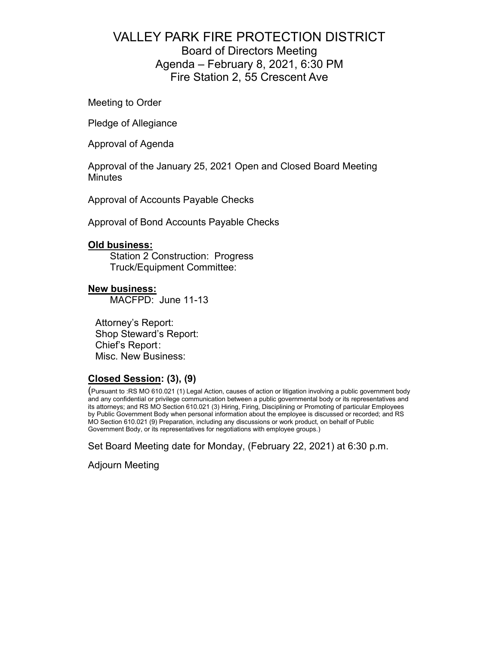# VALLEY PARK FIRE PROTECTION DISTRICT Board of Directors Meeting Agenda – February 8, 2021, 6:30 PM Fire Station 2, 55 Crescent Ave

Meeting to Order

Pledge of Allegiance

Approval of Agenda

Approval of the January 25, 2021 Open and Closed Board Meeting **Minutes** 

Approval of Accounts Payable Checks

Approval of Bond Accounts Payable Checks

### **Old business:**

Station 2 Construction: Progress Truck/Equipment Committee:

### **New business:**

MACFPD: June 11-13

Attorney's Report: Shop Steward's Report: Chief's Report : Misc. New Business:

### **Closed Session: (3), (9)**

(Pursuant to :RS MO 610.021 (1) Legal Action, causes of action or litigation involving a public government body and any confidential or privilege communication between a public governmental body or its representatives and its attorneys; and RS MO Section 610.021 (3) Hiring, Firing, Disciplining or Promoting of particular Employees by Public Government Body when personal information about the employee is discussed or recorded; and RS MO Section 610.021 (9) Preparation, including any discussions or work product, on behalf of Public Government Body, or its representatives for negotiations with employee groups.)

Set Board Meeting date for Monday, (February 22, 2021) at 6:30 p.m.

Adjourn Meeting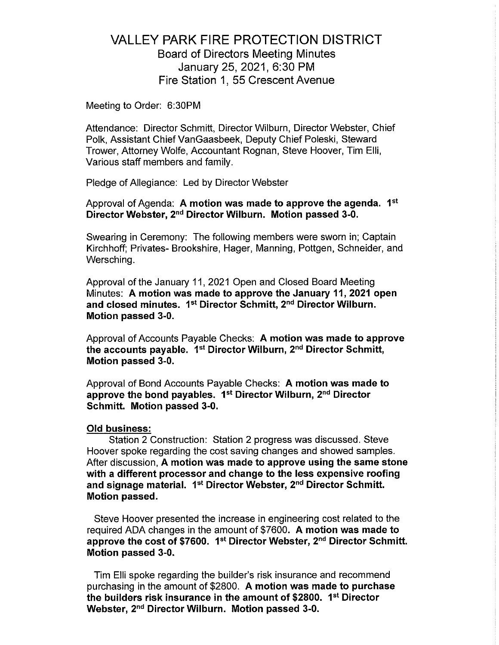# **VALLEY PARK FIRE PROTECTION DISTRICT Board of Directors Meeting Minutes** January 25, 2021, 6:30 PM Fire Station 1, 55 Crescent Avenue

Meeting to Order: 6:30PM

Attendance: Director Schmitt, Director Wilburn, Director Webster, Chief Polk, Assistant Chief VanGaasbeek, Deputy Chief Poleski, Steward Trower, Attorney Wolfe, Accountant Rognan, Steve Hoover, Tim Elli, Various staff members and family.

Pledge of Allegiance: Led by Director Webster

Approval of Agenda: A motion was made to approve the agenda. 1<sup>st</sup> Director Webster, 2<sup>nd</sup> Director Wilburn. Motion passed 3-0.

Swearing in Ceremony: The following members were sworn in; Captain Kirchhoff: Privates- Brookshire, Hager, Manning, Pottgen, Schneider, and Wersching.

Approval of the January 11, 2021 Open and Closed Board Meeting Minutes: A motion was made to approve the January 11, 2021 open and closed minutes. 1<sup>st</sup> Director Schmitt, 2<sup>nd</sup> Director Wilburn. Motion passed 3-0.

Approval of Accounts Payable Checks: A motion was made to approve the accounts payable. 1<sup>st</sup> Director Wilburn, 2<sup>nd</sup> Director Schmitt, Motion passed 3-0.

Approval of Bond Accounts Payable Checks: A motion was made to approve the bond payables. 1<sup>st</sup> Director Wilburn, 2<sup>nd</sup> Director Schmitt. Motion passed 3-0.

### **Old business:**

Station 2 Construction: Station 2 progress was discussed. Steve Hoover spoke regarding the cost saving changes and showed samples. After discussion, A motion was made to approve using the same stone with a different processor and change to the less expensive roofing and signage material. 1<sup>st</sup> Director Webster, 2<sup>nd</sup> Director Schmitt. Motion passed.

Steve Hoover presented the increase in engineering cost related to the required ADA changes in the amount of \$7600. A motion was made to approve the cost of \$7600. 1st Director Webster, 2nd Director Schmitt. Motion passed 3-0.

Tim Elli spoke regarding the builder's risk insurance and recommend purchasing in the amount of \$2800. A motion was made to purchase the builders risk insurance in the amount of \$2800. 1<sup>st</sup> Director Webster, 2<sup>nd</sup> Director Wilburn. Motion passed 3-0.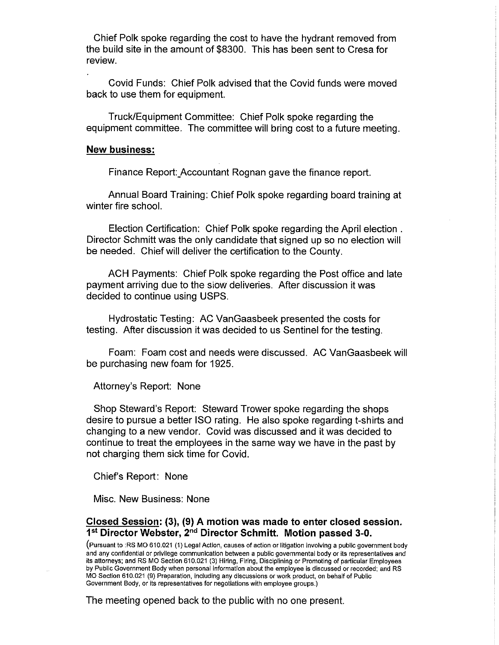Chief Polk spoke regarding the cost to have the hydrant removed from the build site in the amount of \$8300. This has been sent to Cresa for review.

Covid Funds: Chief Polk advised that the Covid funds were moved back to use them for equipment.

Truck/Equipment Committee: Chief Polk spoke regarding the equipment committee. The committee will bring cost to a future meeting.

#### **New business:**

Finance Report: Accountant Rognan gave the finance report.

Annual Board Training: Chief Polk spoke regarding board training at winter fire school.

Election Certification: Chief Polk spoke regarding the April election. Director Schmitt was the only candidate that signed up so no election will be needed. Chief will deliver the certification to the County.

ACH Payments: Chief Polk spoke regarding the Post office and late payment arriving due to the slow deliveries. After discussion it was decided to continue using USPS.

Hydrostatic Testing: AC VanGaasbeek presented the costs for testing. After discussion it was decided to us Sentinel for the testing.

Foam: Foam cost and needs were discussed. AC VanGaasbeek will be purchasing new foam for 1925.

Attorney's Report: None

Shop Steward's Report: Steward Trower spoke regarding the shops desire to pursue a better ISO rating. He also spoke regarding t-shirts and changing to a new vendor. Covid was discussed and it was decided to continue to treat the employees in the same way we have in the past by not charging them sick time for Covid.

Chief's Report: None

Misc. New Business: None

### Closed Session: (3), (9) A motion was made to enter closed session. 1<sup>st</sup> Director Webster, 2<sup>nd</sup> Director Schmitt. Motion passed 3-0.

(Pursuant to :RS MO 610.021 (1) Legal Action, causes of action or litigation involving a public government body and any confidential or privilege communication between a public governmental body or its representatives and its attorneys; and RS MO Section 610.021 (3) Hiring, Firing, Disciplining or Promoting of particular Employees by Public Government Body when personal information about the employee is discussed or recorded; and RS MO Section 610.021 (9) Preparation, including any discussions or work product, on behalf of Public Government Body, or its representatives for negotiations with employee groups.)

The meeting opened back to the public with no one present.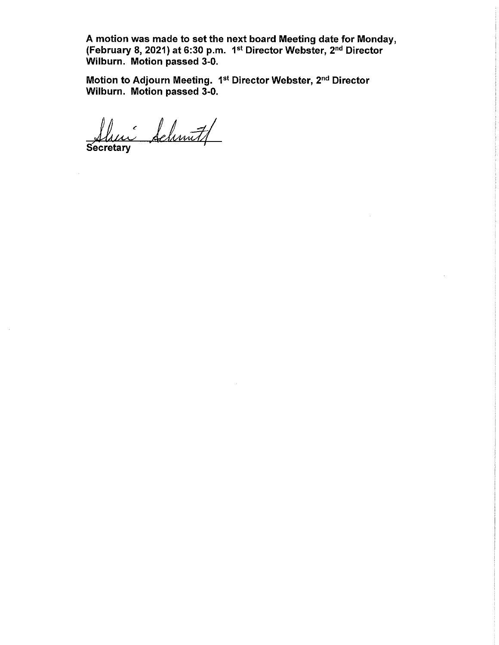A motion was made to set the next board Meeting date for Monday,<br>(February 8, 2021) at 6:30 p.m. 1<sup>st</sup> Director Webster, 2<sup>nd</sup> Director Wilburn. Motion passed 3-0.

Motion to Adjourn Meeting. 1st Director Webster, 2nd Director Wilburn. Motion passed 3-0.

ui Schmitt Secretary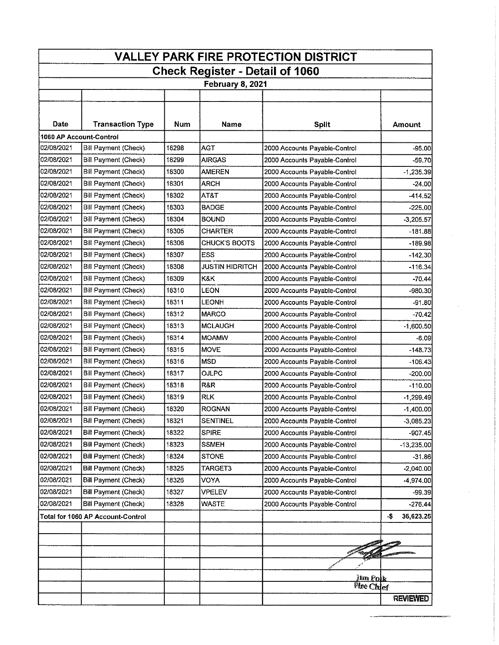| <b>VALLEY PARK FIRE PROTECTION DISTRICT</b>                |                                   |            |                        |                               |                  |  |
|------------------------------------------------------------|-----------------------------------|------------|------------------------|-------------------------------|------------------|--|
| <b>Check Register - Detail of 1060</b><br>February 8, 2021 |                                   |            |                        |                               |                  |  |
|                                                            |                                   |            |                        |                               |                  |  |
|                                                            |                                   |            |                        |                               |                  |  |
| Date                                                       | <b>Transaction Type</b>           | <b>Num</b> | <b>Name</b>            | <b>Split</b>                  | <b>Amount</b>    |  |
|                                                            | 1060 AP Account-Control           |            |                        |                               |                  |  |
| 02/08/2021                                                 | Bill Payment (Check)              | 18298      | AGT                    | 2000 Accounts Payable-Control | $-95.00$         |  |
| 02/08/2021                                                 | Bill Payment (Check)              | 18299      | <b>AIRGAS</b>          | 2000 Accounts Payable-Control | $-59.70$         |  |
| 102/08/2021                                                | Bill Payment (Check)              | 18300      | AMEREN                 | 2000 Accounts Payable-Control | $-1,235.39$      |  |
| 02/08/2021                                                 | Bill Payment (Check)              | 18301      | <b>ARCH</b>            | 2000 Accounts Payable-Control | $-24.00$         |  |
| 02/08/2021                                                 | Bill Payment (Check)              | 18302      | AT&T                   | 2000 Accounts Payable-Control | -414.52          |  |
| 02/08/2021                                                 | Bill Payment (Check)              | 18303      | <b>BADGE</b>           | 2000 Accounts Payable-Control | $-225,00$        |  |
| 02/08/2021                                                 | Bill Payment (Check)              | 18304      | <b>BOUND</b>           | 2000 Accounts Payable-Control | $-3,205.57$      |  |
| 02/08/2021                                                 | Bill Payment (Check)              | 18305      | <b>CHARTER</b>         | 2000 Accounts Payable-Control | $-181.88$        |  |
| 02/08/2021                                                 | Bill Payment (Check)              | 18306      | <b>CHUCK'S BOOTS</b>   | 2000 Accounts Payable-Control | $-189.98$        |  |
| 02/08/2021                                                 | Bill Payment (Check)              | 18307      | <b>ESS</b>             | 2000 Accounts Payable-Control | $-142.30$        |  |
| 02/08/2021                                                 | Bill Payment (Check)              | 18308      | <b>JUSTIN HIDRITCH</b> | 2000 Accounts Payable-Control | $-116.34$        |  |
| 02/08/2021                                                 | Bill Payment (Check)              | 18309      | K&K.                   | 2000 Accounts Payable-Control | $-70.44$         |  |
| 02/08/2021                                                 | Bill Payment (Check)              | 18310      | LEON                   | 2000 Accounts Payable-Control | $-980.30$        |  |
| 02/08/2021                                                 | Bill Payment (Check)              | 18311      | LEONH                  | 2000 Accounts Payable-Control | -91.801          |  |
| 02/08/2021                                                 | Bill Payment (Check)              | 18312      | <b>MARCO</b>           | 2000 Accounts Payable-Control | $-70.42$         |  |
| 02/08/2021                                                 | Bill Payment (Check)              | 18313      | MCLAUGH                | 2000 Accounts Payable-Control | $-1,600.50$      |  |
| 02/08/2021                                                 | Bill Payment (Check)              | 18314      | <b>MOAMW</b>           | 2000 Accounts Payable-Control | -6.09            |  |
| 02/08/2021                                                 | <b>Bill Payment (Check)</b>       | 18315      | <b>MOVE</b>            | 2000 Accounts Payable-Control | -148.73          |  |
| 02/08/2021                                                 | Bill Payment (Check)              | 18316      | <b>MSD</b>             | 2000 Accounts Payable-Control | $-106.43$        |  |
| 02/08/2021                                                 | Bill Payment (Check)              | 18317      | OJLPC                  | 2000 Accounts Payable-Control | $-200.00$        |  |
| 02/08/2021                                                 | Bill Payment (Check)              | 18318      | R&R                    | 2000 Accounts Payable-Control | $-110.00$        |  |
| 02/08/2021                                                 | Bill Payment (Check)              | 18319      | <b>RLK</b>             | 2000 Accounts Payable-Control | $-1,299.49$      |  |
| 02/08/2021                                                 | <b>Bill Payment (Check)</b>       | 18320      | <b>ROGNAN</b>          | 2000 Accounts Payable-Control | $-1,400.00$      |  |
| 02/08/2021                                                 | Bill Payment (Check)              | 18321      | <b>SENTINEL</b>        | 2000 Accounts Payable-Control | $-3,085,23$      |  |
| 02/08/2021                                                 | <b>Bill Payment (Check)</b>       | 18322      | <b>SPIRE</b>           | 2000 Accounts Payable-Control | $-907.45$        |  |
| 02/08/2021                                                 | <b>Bill Payment (Check)</b>       | 18323      | <b>SSMEH</b>           | 2000 Accounts Payable-Control | $-13,235,00$     |  |
| 02/08/2021                                                 | <b>Bill Payment (Check)</b>       | 18324      | <b>STONE</b>           | 2000 Accounts Payable-Control | $-31.86$         |  |
| 02/08/2021                                                 | <b>Bill Payment (Check)</b>       | 18325      | TARGET3                | 2000 Accounts Payable-Control | $-2,040.00$      |  |
| 02/08/2021                                                 | Bill Payment (Check)              | 18326      | VOYA                   | 2000 Accounts Payable-Control | 4,974.00         |  |
| 02/08/2021                                                 | <b>Bill Payment (Check)</b>       | 18327      | <b>VPELEV</b>          | 2000 Accounts Payable-Control | $-99.39$         |  |
| 02/08/2021                                                 | Bill Payment (Check)              | 18328      | <b>WASTE</b>           | 2000 Accounts Payable-Control | $-276.44$        |  |
|                                                            | Total for 1060 AP Account-Control |            |                        |                               | 36,623.25<br>-\$ |  |
|                                                            |                                   |            |                        |                               |                  |  |
|                                                            |                                   |            |                        |                               |                  |  |
|                                                            |                                   |            |                        |                               |                  |  |
|                                                            |                                   |            |                        |                               |                  |  |
|                                                            |                                   |            |                        | <u>Jim Polk</u>               |                  |  |
|                                                            |                                   |            |                        | Fire Chief                    |                  |  |
|                                                            |                                   |            |                        |                               | <b>REVIEWED</b>  |  |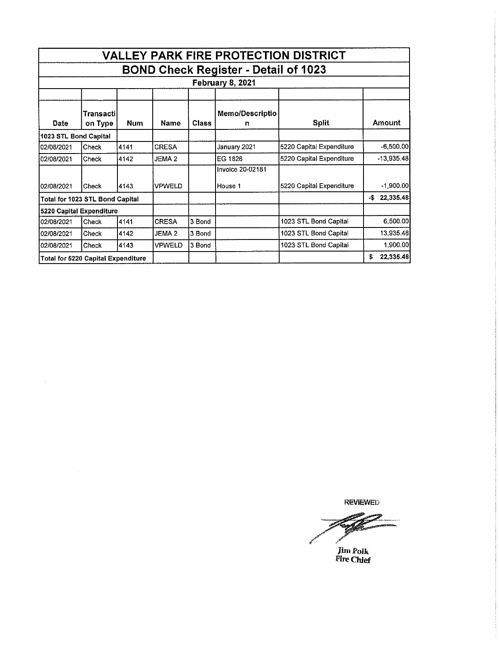|                                                                        |                       |            |                   |        |                         | <b>VALLEY PARK FIRE PROTECTION DISTRICT</b> |                  |
|------------------------------------------------------------------------|-----------------------|------------|-------------------|--------|-------------------------|---------------------------------------------|------------------|
| <b>BOND Check Register - Detail of 1023</b><br><b>February 8, 2021</b> |                       |            |                   |        |                         |                                             |                  |
|                                                                        |                       |            |                   |        |                         |                                             |                  |
| Date                                                                   | Transactil<br>on Type | <b>Num</b> | Name              | Class  | Memo/Descriptio<br>n    | <b>Split</b>                                | Amount           |
| 1023 STL Bond Capital                                                  |                       |            |                   |        |                         |                                             |                  |
| 02/08/2021                                                             | Check                 | 4141       | <b>CRESA</b>      |        | January 2021            | 5220 Capital Expenditure                    | $-6,500.00$      |
| 02/08/2021                                                             | Check                 | 4142       | JEMA <sub>2</sub> |        | EG 1826                 | 5220 Capital Expenditure                    | $-13,935,48$     |
|                                                                        |                       |            |                   |        | <b>Invoice 20-02181</b> |                                             |                  |
| 102/08/2021                                                            | Check                 | 4143       | <b>VPWELD</b>     |        | House 1                 | 5220 Capital Expenditure                    | $-1,900.00$      |
| Total for 1023 STL Bond Capital                                        |                       |            |                   |        |                         |                                             | 22,335.48<br>-\$ |
| 5220 Capital Expenditure                                               |                       |            |                   |        |                         |                                             |                  |
| 02/08/2021                                                             | Check                 | 4141       | <b>CRESA</b>      | 3 Bond |                         | 1023 STL Bond Capital                       | 6,500.00         |
| 02/08/2021                                                             | Check                 | 4142       | JEMA <sub>2</sub> | 3 Bond |                         | 1023 STL Bond Capital                       | 13,935.48        |
| 02/08/2021                                                             | Check                 | 4143       | VPWELD            | 3 Bond |                         | 1023 STL Bond Capital                       | 1,900.00         |
| Total for 5220 Capital Expenditure                                     |                       |            |                   |        |                         |                                             | 22,335.48<br>\$  |

 $\mathcal{A}^{\mathcal{A}}$ 

**REVIEWED** 

d

 $\hat{\mathcal{A}}$ 

Jim Polk<br>Fire Chief